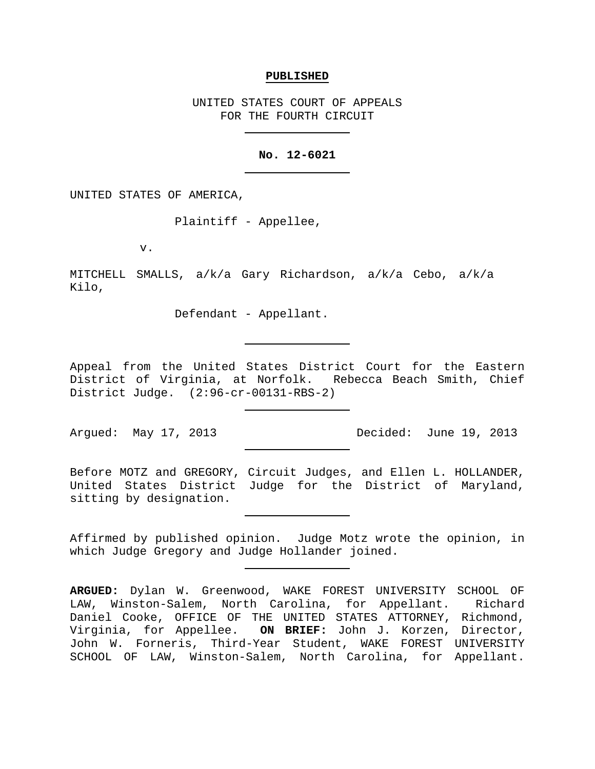#### **PUBLISHED**

UNITED STATES COURT OF APPEALS FOR THE FOURTH CIRCUIT

# **No. 12-6021**

UNITED STATES OF AMERICA,

Plaintiff - Appellee,

v.

MITCHELL SMALLS, a/k/a Gary Richardson, a/k/a Cebo, a/k/a Kilo,

Defendant - Appellant.

Appeal from the United States District Court for the Eastern District of Virginia, at Norfolk. Rebecca Beach Smith, Chief District Judge. (2:96-cr-00131-RBS-2)

Argued: May 17, 2013 Decided: June 19, 2013

Before MOTZ and GREGORY, Circuit Judges, and Ellen L. HOLLANDER, United States District Judge for the District of Maryland, sitting by designation.

Affirmed by published opinion. Judge Motz wrote the opinion, in which Judge Gregory and Judge Hollander joined.

**ARGUED:** Dylan W. Greenwood, WAKE FOREST UNIVERSITY SCHOOL OF LAW, Winston-Salem, North Carolina, for Appellant. Richard Daniel Cooke, OFFICE OF THE UNITED STATES ATTORNEY, Richmond, Virginia, for Appellee. **ON BRIEF:** John J. Korzen, Director, John W. Forneris, Third-Year Student, WAKE FOREST UNIVERSITY SCHOOL OF LAW, Winston-Salem, North Carolina, for Appellant.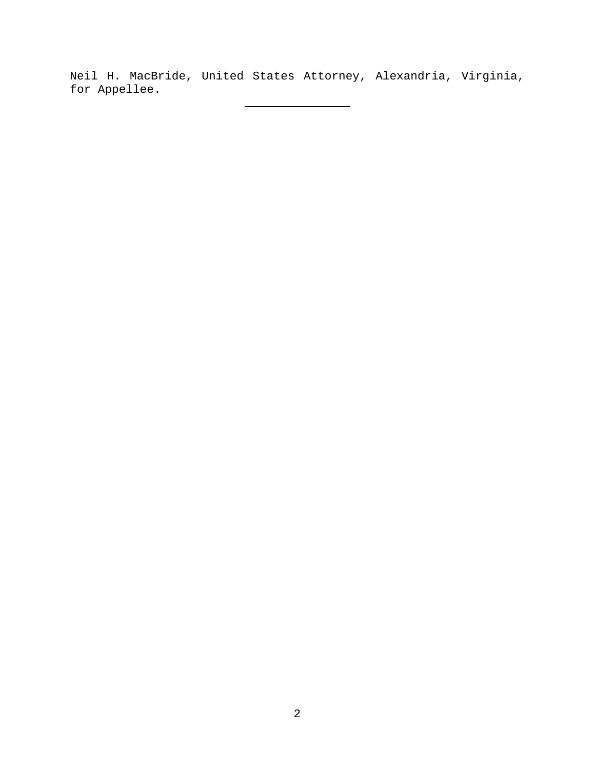Neil H. MacBride, United States Attorney, Alexandria, Virginia, for Appellee.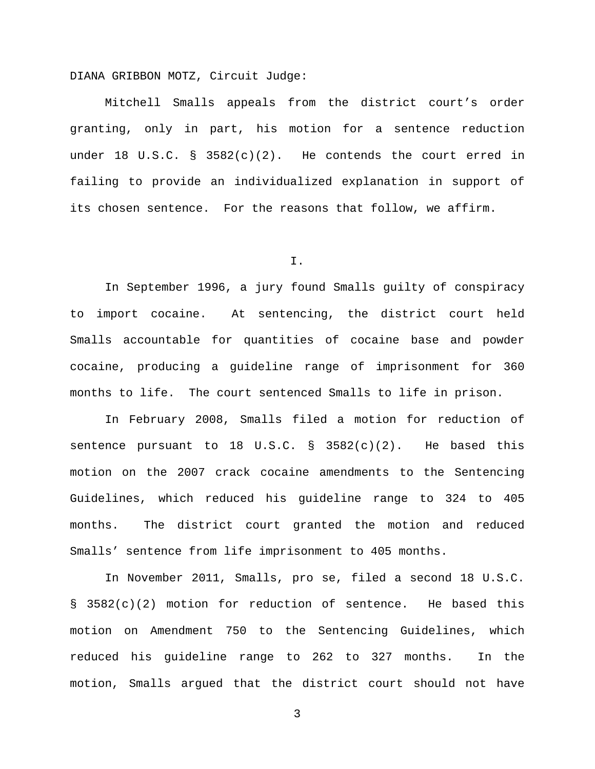DIANA GRIBBON MOTZ, Circuit Judge:

Mitchell Smalls appeals from the district court's order granting, only in part, his motion for a sentence reduction under 18 U.S.C. §  $3582(c)(2)$ . He contends the court erred in failing to provide an individualized explanation in support of its chosen sentence. For the reasons that follow, we affirm.

I.

In September 1996, a jury found Smalls guilty of conspiracy to import cocaine. At sentencing, the district court held Smalls accountable for quantities of cocaine base and powder cocaine, producing a guideline range of imprisonment for 360 months to life. The court sentenced Smalls to life in prison.

In February 2008, Smalls filed a motion for reduction of sentence pursuant to 18 U.S.C.  $\S$  3582(c)(2). He based this motion on the 2007 crack cocaine amendments to the Sentencing Guidelines, which reduced his guideline range to 324 to 405 months. The district court granted the motion and reduced Smalls' sentence from life imprisonment to 405 months.

In November 2011, Smalls, pro se, filed a second 18 U.S.C. § 3582(c)(2) motion for reduction of sentence. He based this motion on Amendment 750 to the Sentencing Guidelines, which reduced his guideline range to 262 to 327 months. In the motion, Smalls argued that the district court should not have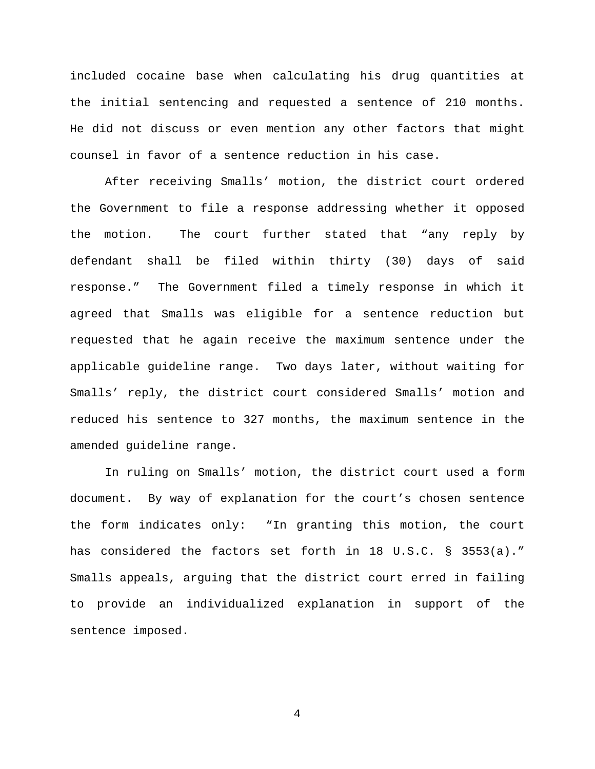included cocaine base when calculating his drug quantities at the initial sentencing and requested a sentence of 210 months. He did not discuss or even mention any other factors that might counsel in favor of a sentence reduction in his case.

After receiving Smalls' motion, the district court ordered the Government to file a response addressing whether it opposed the motion. The court further stated that "any reply by defendant shall be filed within thirty (30) days of said response." The Government filed a timely response in which it agreed that Smalls was eligible for a sentence reduction but requested that he again receive the maximum sentence under the applicable guideline range. Two days later, without waiting for Smalls' reply, the district court considered Smalls' motion and reduced his sentence to 327 months, the maximum sentence in the amended guideline range.

In ruling on Smalls' motion, the district court used a form document. By way of explanation for the court's chosen sentence the form indicates only: "In granting this motion, the court has considered the factors set forth in 18 U.S.C. § 3553(a)." Smalls appeals, arguing that the district court erred in failing to provide an individualized explanation in support of the sentence imposed.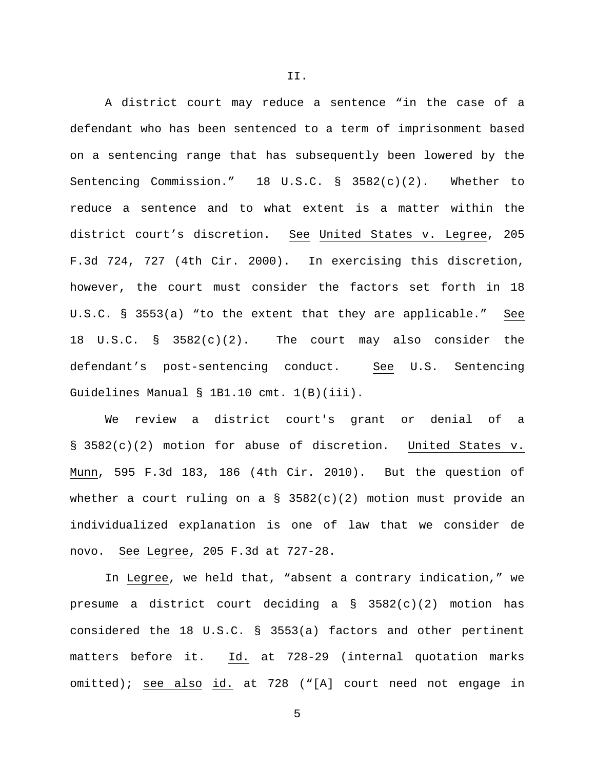A district court may reduce a sentence "in the case of a defendant who has been sentenced to a term of imprisonment based on a sentencing range that has subsequently been lowered by the Sentencing Commission." 18 U.S.C. § 3582(c)(2). Whether to reduce a sentence and to what extent is a matter within the district court's discretion. See United States v. Legree, 205 F.3d 724, 727 (4th Cir. 2000). In exercising this discretion, however, the court must consider the factors set forth in 18 U.S.C. § 3553(a) "to the extent that they are applicable." See 18 U.S.C. § 3582(c)(2). The court may also consider the defendant's post-sentencing conduct. See U.S. Sentencing Guidelines Manual § 1B1.10 cmt. 1(B)(iii).

We review a district court's grant or denial of a § 3582(c)(2) motion for abuse of discretion. United States v. Munn, 595 F.3d 183, 186 (4th Cir. 2010). But the question of whether a court ruling on a § 3582(c)(2) motion must provide an individualized explanation is one of law that we consider de novo. See Legree, 205 F.3d at 727-28.

In Legree, we held that, "absent a contrary indication," we presume a district court deciding a § 3582(c)(2) motion has considered the 18 U.S.C. § 3553(a) factors and other pertinent matters before it. Id. at 728-29 (internal quotation marks omitted); see also id. at 728 ("[A] court need not engage in

II.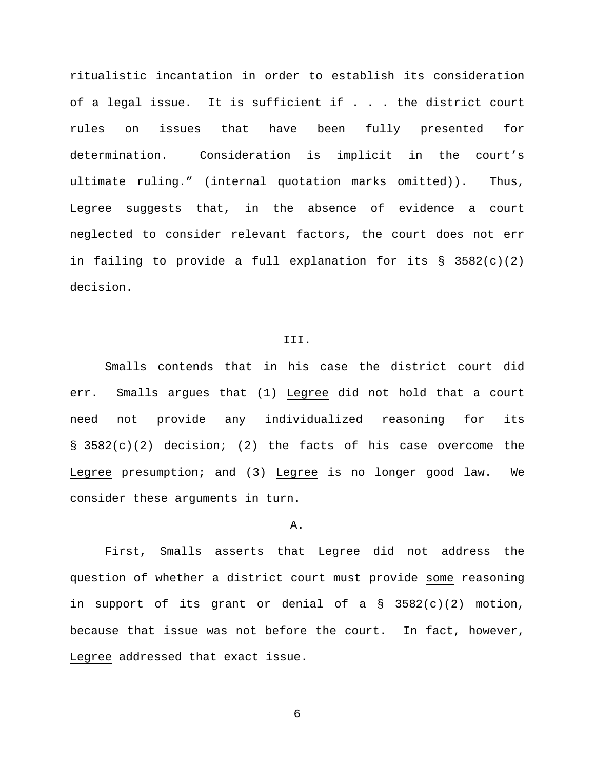ritualistic incantation in order to establish its consideration of a legal issue. It is sufficient if . . . the district court rules on issues that have been fully presented for determination. Consideration is implicit in the court's ultimate ruling." (internal quotation marks omitted)). Thus, Legree suggests that, in the absence of evidence a court neglected to consider relevant factors, the court does not err in failing to provide a full explanation for its  $\S$  3582(c)(2) decision.

## III.

Smalls contends that in his case the district court did err. Smalls argues that (1) Legree did not hold that a court need not provide any individualized reasoning for its § 3582(c)(2) decision; (2) the facts of his case overcome the Legree presumption; and (3) Legree is no longer good law. We consider these arguments in turn.

# A.

First, Smalls asserts that Legree did not address the question of whether a district court must provide some reasoning in support of its grant or denial of a § 3582(c)(2) motion, because that issue was not before the court. In fact, however, Legree addressed that exact issue.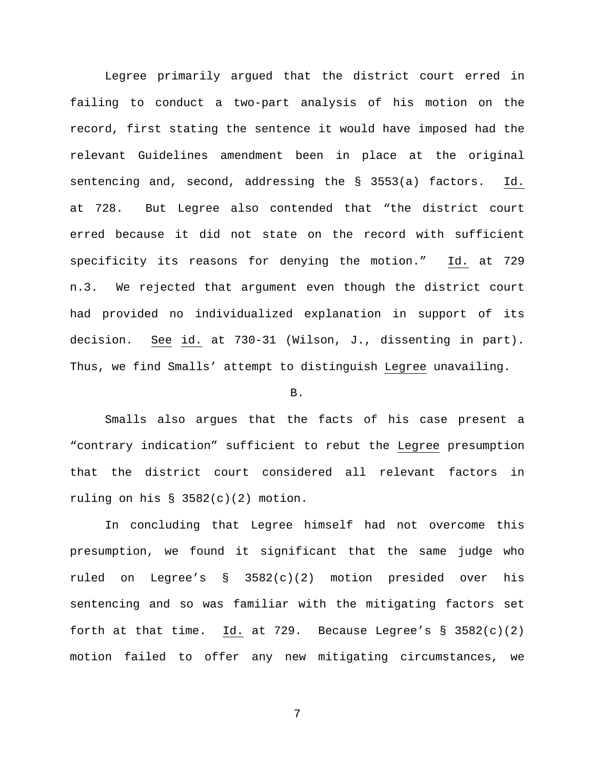Legree primarily argued that the district court erred in failing to conduct a two-part analysis of his motion on the record, first stating the sentence it would have imposed had the relevant Guidelines amendment been in place at the original sentencing and, second, addressing the § 3553(a) factors. Id. at 728. But Legree also contended that "the district court erred because it did not state on the record with sufficient specificity its reasons for denying the motion." Id. at 729 n.3. We rejected that argument even though the district court had provided no individualized explanation in support of its decision. See id. at 730-31 (Wilson, J., dissenting in part). Thus, we find Smalls' attempt to distinguish Legree unavailing.

#### B.

Smalls also argues that the facts of his case present a "contrary indication" sufficient to rebut the Legree presumption that the district court considered all relevant factors in ruling on his  $\S$  3582(c)(2) motion.

In concluding that Legree himself had not overcome this presumption, we found it significant that the same judge who ruled on Legree's § 3582(c)(2) motion presided over his sentencing and so was familiar with the mitigating factors set forth at that time. Id. at 729. Because Legree's  $\S$  3582(c)(2) motion failed to offer any new mitigating circumstances, we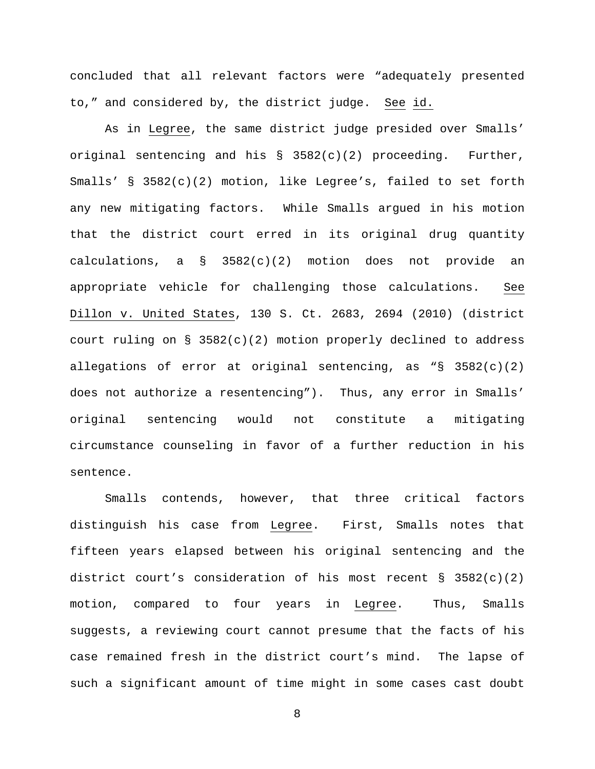concluded that all relevant factors were "adequately presented to," and considered by, the district judge. See id.

As in Legree, the same district judge presided over Smalls' original sentencing and his  $\S$  3582(c)(2) proceeding. Further, Smalls' § 3582(c)(2) motion, like Legree's, failed to set forth any new mitigating factors. While Smalls argued in his motion that the district court erred in its original drug quantity calculations, a § 3582(c)(2) motion does not provide an appropriate vehicle for challenging those calculations. See Dillon v. United States, 130 S. Ct. 2683, 2694 (2010) (district court ruling on § 3582(c)(2) motion properly declined to address allegations of error at original sentencing, as  $\sqrt{S}$  3582(c)(2) does not authorize a resentencing"). Thus, any error in Smalls' original sentencing would not constitute a mitigating circumstance counseling in favor of a further reduction in his sentence.

Smalls contends, however, that three critical factors distinguish his case from Legree. First, Smalls notes that fifteen years elapsed between his original sentencing and the district court's consideration of his most recent  $\S$  3582(c)(2) motion, compared to four years in Legree. Thus, Smalls suggests, a reviewing court cannot presume that the facts of his case remained fresh in the district court's mind. The lapse of such a significant amount of time might in some cases cast doubt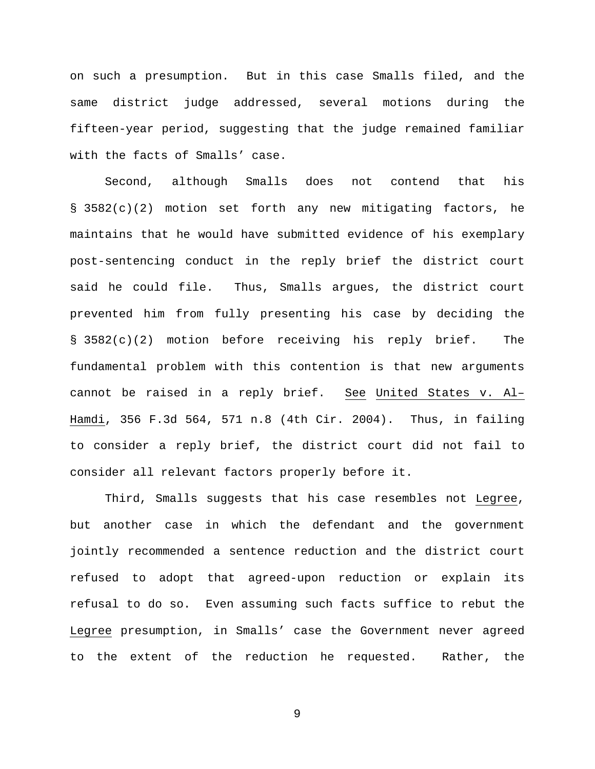on such a presumption. But in this case Smalls filed, and the same district judge addressed, several motions during the fifteen-year period, suggesting that the judge remained familiar with the facts of Smalls' case.

Second, although Smalls does not contend that his § 3582(c)(2) motion set forth any new mitigating factors, he maintains that he would have submitted evidence of his exemplary post-sentencing conduct in the reply brief the district court said he could file. Thus, Smalls argues, the district court prevented him from fully presenting his case by deciding the § 3582(c)(2) motion before receiving his reply brief. The fundamental problem with this contention is that new arguments cannot be raised in a reply brief. See United States v. Al– Hamdi, 356 F.3d 564, 571 n.8 (4th Cir. 2004). Thus, in failing to consider a reply brief, the district court did not fail to consider all relevant factors properly before it.

Third, Smalls suggests that his case resembles not Legree, but another case in which the defendant and the government jointly recommended a sentence reduction and the district court refused to adopt that agreed-upon reduction or explain its refusal to do so. Even assuming such facts suffice to rebut the Legree presumption, in Smalls' case the Government never agreed to the extent of the reduction he requested. Rather, the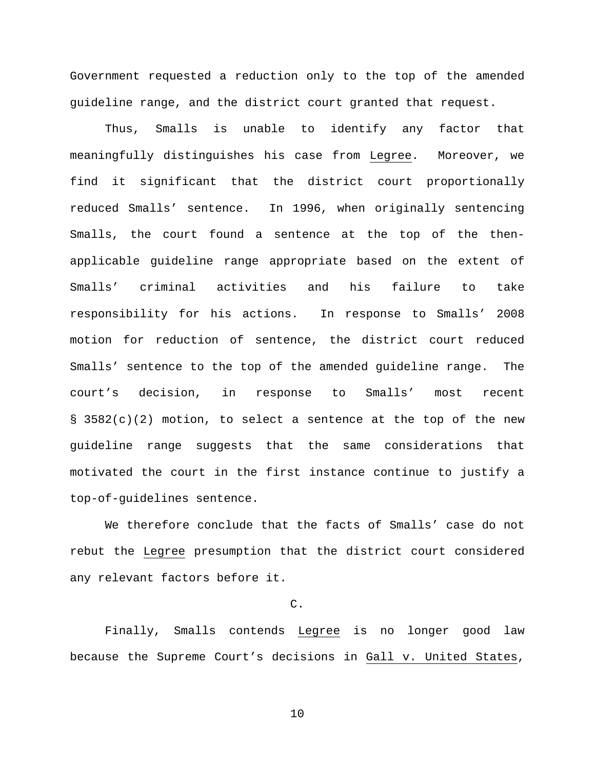Government requested a reduction only to the top of the amended guideline range, and the district court granted that request.

Thus, Smalls is unable to identify any factor that meaningfully distinguishes his case from Legree. Moreover, we find it significant that the district court proportionally reduced Smalls' sentence. In 1996, when originally sentencing Smalls, the court found a sentence at the top of the thenapplicable guideline range appropriate based on the extent of Smalls' criminal activities and his failure to take responsibility for his actions. In response to Smalls' 2008 motion for reduction of sentence, the district court reduced Smalls' sentence to the top of the amended guideline range. The court's decision, in response to Smalls' most recent § 3582(c)(2) motion, to select a sentence at the top of the new guideline range suggests that the same considerations that motivated the court in the first instance continue to justify a top-of-guidelines sentence.

We therefore conclude that the facts of Smalls' case do not rebut the Legree presumption that the district court considered any relevant factors before it.

# C.

Finally, Smalls contends Legree is no longer good law because the Supreme Court's decisions in Gall v. United States,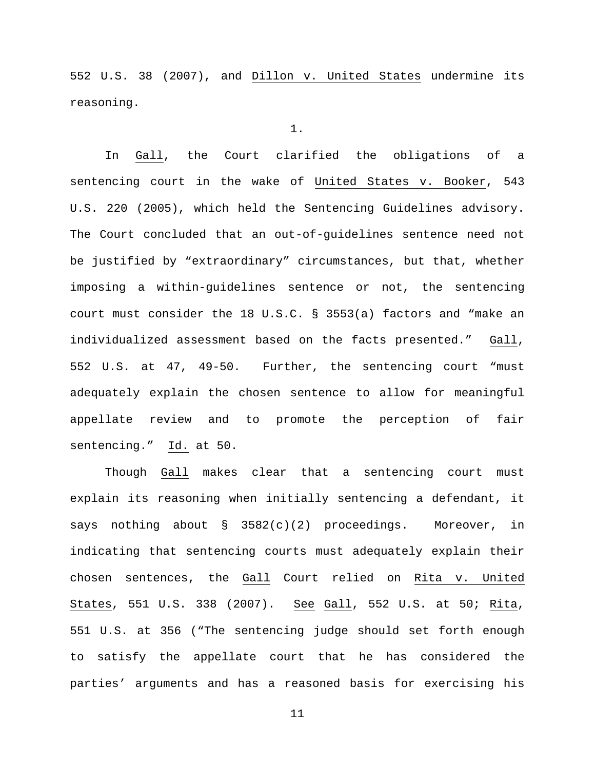552 U.S. 38 (2007), and Dillon v. United States undermine its reasoning.

1.

In Gall, the Court clarified the obligations of a sentencing court in the wake of United States v. Booker, 543 U.S. 220 (2005), which held the Sentencing Guidelines advisory. The Court concluded that an out-of-guidelines sentence need not be justified by "extraordinary" circumstances, but that, whether imposing a within-guidelines sentence or not, the sentencing court must consider the 18 U.S.C. § 3553(a) factors and "make an individualized assessment based on the facts presented." Gall, 552 U.S. at 47, 49-50. Further, the sentencing court "must adequately explain the chosen sentence to allow for meaningful appellate review and to promote the perception of fair sentencing." Id. at 50.

Though Gall makes clear that a sentencing court must explain its reasoning when initially sentencing a defendant, it says nothing about  $\S$  3582(c)(2) proceedings. Moreover, in indicating that sentencing courts must adequately explain their chosen sentences, the Gall Court relied on Rita v. United States, 551 U.S. 338 (2007). See Gall, 552 U.S. at 50; Rita, 551 U.S. at 356 ("The sentencing judge should set forth enough to satisfy the appellate court that he has considered the parties' arguments and has a reasoned basis for exercising his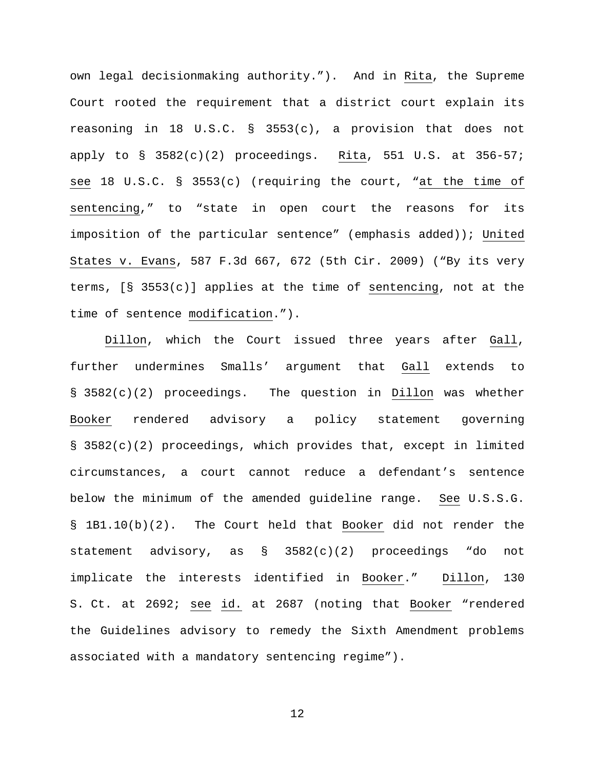own legal decisionmaking authority."). And in Rita, the Supreme Court rooted the requirement that a district court explain its reasoning in 18 U.S.C. § 3553(c), a provision that does not apply to  $\S$  3582(c)(2) proceedings. Rita, 551 U.S. at 356-57; see 18 U.S.C. § 3553(c) (requiring the court, "at the time of sentencing," to "state in open court the reasons for its imposition of the particular sentence" (emphasis added)); United States v. Evans, 587 F.3d 667, 672 (5th Cir. 2009) ("By its very terms, [§ 3553(c)] applies at the time of sentencing, not at the time of sentence modification.").

Dillon, which the Court issued three years after Gall, further undermines Smalls' argument that Gall extends to § 3582(c)(2) proceedings. The question in Dillon was whether Booker rendered advisory a policy statement governing § 3582(c)(2) proceedings, which provides that, except in limited circumstances, a court cannot reduce a defendant's sentence below the minimum of the amended guideline range. See U.S.S.G. § 1B1.10(b)(2). The Court held that Booker did not render the statement advisory, as § 3582(c)(2) proceedings "do not implicate the interests identified in Booker." Dillon, 130 S. Ct. at 2692; see id. at 2687 (noting that Booker "rendered the Guidelines advisory to remedy the Sixth Amendment problems associated with a mandatory sentencing regime").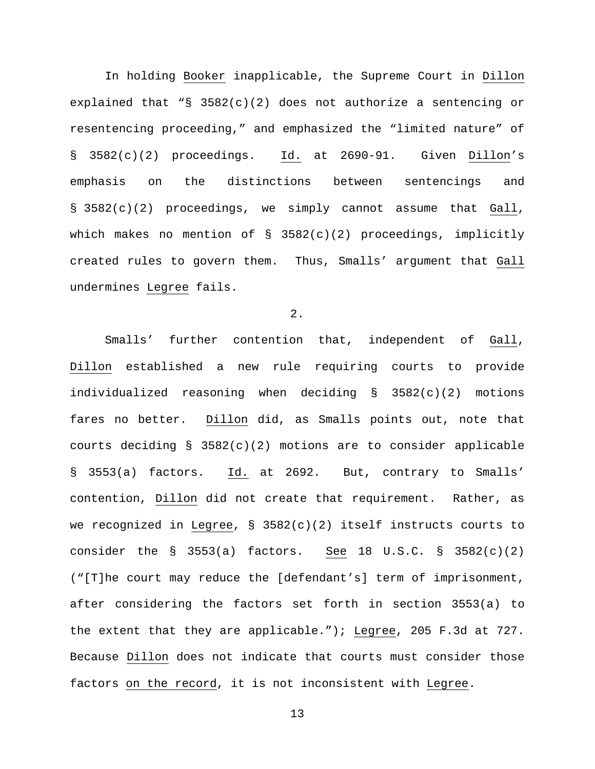In holding Booker inapplicable, the Supreme Court in Dillon explained that "§  $3582(c)(2)$  does not authorize a sentencing or resentencing proceeding," and emphasized the "limited nature" of § 3582(c)(2) proceedings. Id. at 2690-91. Given Dillon's emphasis on the distinctions between sentencings and § 3582(c)(2) proceedings, we simply cannot assume that Gall, which makes no mention of § 3582(c)(2) proceedings, implicitly created rules to govern them. Thus, Smalls' argument that Gall undermines Legree fails.

2.

Smalls' further contention that, independent of Gall, Dillon established a new rule requiring courts to provide individualized reasoning when deciding § 3582(c)(2) motions fares no better. Dillon did, as Smalls points out, note that courts deciding §  $3582(c)(2)$  motions are to consider applicable § 3553(a) factors. Id. at 2692. But, contrary to Smalls' contention, Dillon did not create that requirement. Rather, as we recognized in Legree, § 3582(c)(2) itself instructs courts to consider the  $\S$  3553(a) factors. See 18 U.S.C.  $\S$  3582(c)(2) ("[T]he court may reduce the [defendant's] term of imprisonment, after considering the factors set forth in section 3553(a) to the extent that they are applicable."); Legree, 205 F.3d at 727. Because Dillon does not indicate that courts must consider those factors on the record, it is not inconsistent with Legree.